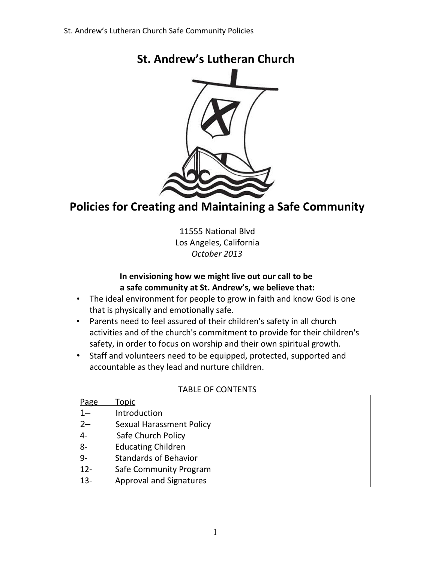

# **St. Andrew's Lutheran Church**

# **Policies for Creating and Maintaining a Safe Community**

11555 National Blvd Los Angeles, California *October 2013*

#### **In envisioning how we might live out our call to be a safe community at St. Andrew's, we believe that:**

- The ideal environment for people to grow in faith and know God is one that is physically and emotionally safe.
- Parents need to feel assured of their children's safety in all church activities and of the church's commitment to provide for their children's safety, in order to focus on worship and their own spiritual growth.
- Staff and volunteers need to be equipped, protected, supported and accountable as they lead and nurture children.

#### TABLE OF CONTENTS

| Page   | Topic                           |
|--------|---------------------------------|
|        | Introduction                    |
| $2 -$  | <b>Sexual Harassment Policy</b> |
| $4-$   | Safe Church Policy              |
| $8-$   | <b>Educating Children</b>       |
| $9-$   | <b>Standards of Behavior</b>    |
| $12-$  | Safe Community Program          |
| $13 -$ | <b>Approval and Signatures</b>  |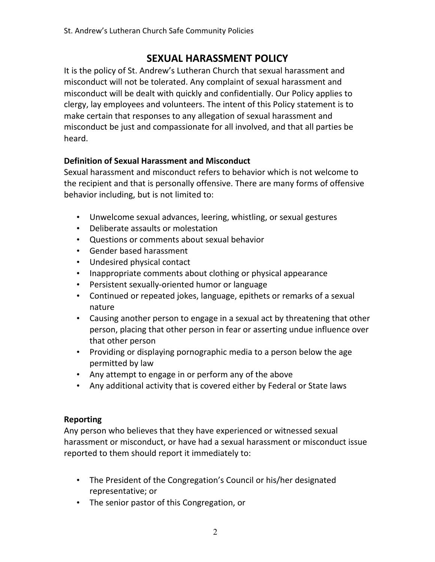# **SEXUAL HARASSMENT POLICY**

It is the policy of St. Andrew's Lutheran Church that sexual harassment and misconduct will not be tolerated. Any complaint of sexual harassment and misconduct will be dealt with quickly and confidentially. Our Policy applies to clergy, lay employees and volunteers. The intent of this Policy statement is to make certain that responses to any allegation of sexual harassment and misconduct be just and compassionate for all involved, and that all parties be heard.

## **Definition of Sexual Harassment and Misconduct**

Sexual harassment and misconduct refers to behavior which is not welcome to the recipient and that is personally offensive. There are many forms of offensive behavior including, but is not limited to:

- Unwelcome sexual advances, leering, whistling, or sexual gestures
- Deliberate assaults or molestation
- Questions or comments about sexual behavior
- Gender based harassment
- Undesired physical contact
- Inappropriate comments about clothing or physical appearance
- Persistent sexually-oriented humor or language
- Continued or repeated jokes, language, epithets or remarks of a sexual nature
- Causing another person to engage in a sexual act by threatening that other person, placing that other person in fear or asserting undue influence over that other person
- Providing or displaying pornographic media to a person below the age permitted by law
- Any attempt to engage in or perform any of the above
- Any additional activity that is covered either by Federal or State laws

### **Reporting**

Any person who believes that they have experienced or witnessed sexual harassment or misconduct, or have had a sexual harassment or misconduct issue reported to them should report it immediately to:

- The President of the Congregation's Council or his/her designated representative; or
- The senior pastor of this Congregation, or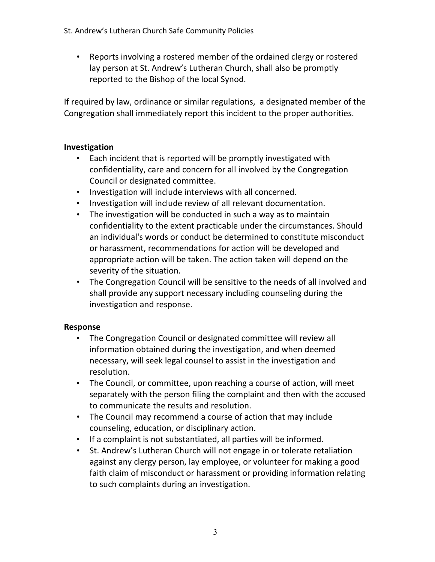• Reports involving a rostered member of the ordained clergy or rostered lay person at St. Andrew's Lutheran Church, shall also be promptly reported to the Bishop of the local Synod.

If required by law, ordinance or similar regulations, a designated member of the Congregation shall immediately report this incident to the proper authorities.

### **Investigation**

- Each incident that is reported will be promptly investigated with confidentiality, care and concern for all involved by the Congregation Council or designated committee.
- Investigation will include interviews with all concerned.
- Investigation will include review of all relevant documentation.
- The investigation will be conducted in such a way as to maintain confidentiality to the extent practicable under the circumstances. Should an individual's words or conduct be determined to constitute misconduct or harassment, recommendations for action will be developed and appropriate action will be taken. The action taken will depend on the severity of the situation.
- The Congregation Council will be sensitive to the needs of all involved and shall provide any support necessary including counseling during the investigation and response.

### **Response**

- The Congregation Council or designated committee will review all information obtained during the investigation, and when deemed necessary, will seek legal counsel to assist in the investigation and resolution.
- The Council, or committee, upon reaching a course of action, will meet separately with the person filing the complaint and then with the accused to communicate the results and resolution.
- The Council may recommend a course of action that may include counseling, education, or disciplinary action.
- If a complaint is not substantiated, all parties will be informed.
- St. Andrew's Lutheran Church will not engage in or tolerate retaliation against any clergy person, lay employee, or volunteer for making a good faith claim of misconduct or harassment or providing information relating to such complaints during an investigation.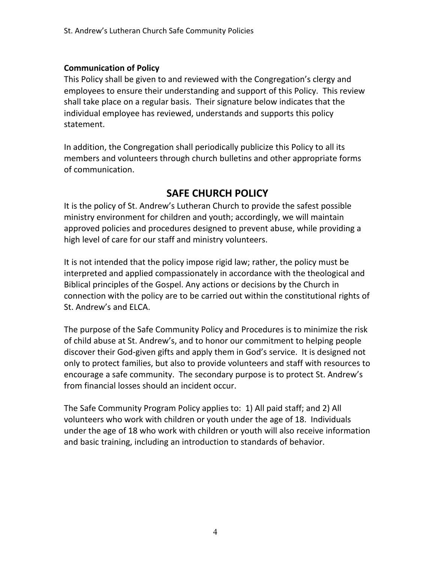#### **Communication of Policy**

This Policy shall be given to and reviewed with the Congregation's clergy and employees to ensure their understanding and support of this Policy. This review shall take place on a regular basis. Their signature below indicates that the individual employee has reviewed, understands and supports this policy statement.

In addition, the Congregation shall periodically publicize this Policy to all its members and volunteers through church bulletins and other appropriate forms of communication.

# **SAFE CHURCH POLICY**

It is the policy of St. Andrew's Lutheran Church to provide the safest possible ministry environment for children and youth; accordingly, we will maintain approved policies and procedures designed to prevent abuse, while providing a high level of care for our staff and ministry volunteers.

It is not intended that the policy impose rigid law; rather, the policy must be interpreted and applied compassionately in accordance with the theological and Biblical principles of the Gospel. Any actions or decisions by the Church in connection with the policy are to be carried out within the constitutional rights of St. Andrew's and ELCA.

The purpose of the Safe Community Policy and Procedures is to minimize the risk of child abuse at St. Andrew's, and to honor our commitment to helping people discover their God-given gifts and apply them in God's service. It is designed not only to protect families, but also to provide volunteers and staff with resources to encourage a safe community. The secondary purpose is to protect St. Andrew's from financial losses should an incident occur.

The Safe Community Program Policy applies to: 1) All paid staff; and 2) All volunteers who work with children or youth under the age of 18. Individuals under the age of 18 who work with children or youth will also receive information and basic training, including an introduction to standards of behavior.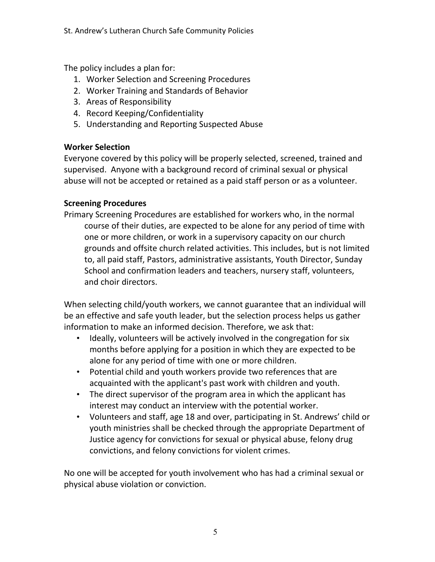The policy includes a plan for:

- 1. Worker Selection and Screening Procedures
- 2. Worker Training and Standards of Behavior
- 3. Areas of Responsibility
- 4. Record Keeping/Confidentiality
- 5. Understanding and Reporting Suspected Abuse

## **Worker Selection**

Everyone covered by this policy will be properly selected, screened, trained and supervised. Anyone with a background record of criminal sexual or physical abuse will not be accepted or retained as a paid staff person or as a volunteer.

## **Screening Procedures**

Primary Screening Procedures are established for workers who, in the normal course of their duties, are expected to be alone for any period of time with one or more children, or work in a supervisory capacity on our church grounds and offsite church related activities. This includes, but is not limited to, all paid staff, Pastors, administrative assistants, Youth Director, Sunday School and confirmation leaders and teachers, nursery staff, volunteers, and choir directors.

When selecting child/youth workers, we cannot guarantee that an individual will be an effective and safe youth leader, but the selection process helps us gather information to make an informed decision. Therefore, we ask that:

- Ideally, volunteers will be actively involved in the congregation for six months before applying for a position in which they are expected to be alone for any period of time with one or more children.
- Potential child and youth workers provide two references that are acquainted with the applicant's past work with children and youth.
- The direct supervisor of the program area in which the applicant has interest may conduct an interview with the potential worker.
- Volunteers and staff, age 18 and over, participating in St. Andrews' child or youth ministries shall be checked through the appropriate Department of Justice agency for convictions for sexual or physical abuse, felony drug convictions, and felony convictions for violent crimes.

No one will be accepted for youth involvement who has had a criminal sexual or physical abuse violation or conviction.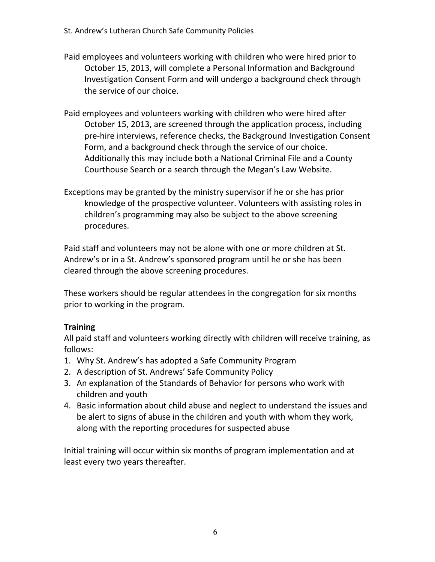- Paid employees and volunteers working with children who were hired prior to October 15, 2013, will complete a Personal Information and Background Investigation Consent Form and will undergo a background check through the service of our choice.
- Paid employees and volunteers working with children who were hired after October 15, 2013, are screened through the application process, including pre-hire interviews, reference checks, the Background Investigation Consent Form, and a background check through the service of our choice. Additionally this may include both a National Criminal File and a County Courthouse Search or a search through the Megan's Law Website.
- Exceptions may be granted by the ministry supervisor if he or she has prior knowledge of the prospective volunteer. Volunteers with assisting roles in children's programming may also be subject to the above screening procedures.

Paid staff and volunteers may not be alone with one or more children at St. Andrew's or in a St. Andrew's sponsored program until he or she has been cleared through the above screening procedures.

These workers should be regular attendees in the congregation for six months prior to working in the program.

### **Training**

All paid staff and volunteers working directly with children will receive training, as follows:

- 1. Why St. Andrew's has adopted a Safe Community Program
- 2. A description of St. Andrews' Safe Community Policy
- 3. An explanation of the Standards of Behavior for persons who work with children and youth
- 4. Basic information about child abuse and neglect to understand the issues and be alert to signs of abuse in the children and youth with whom they work, along with the reporting procedures for suspected abuse

Initial training will occur within six months of program implementation and at least every two years thereafter.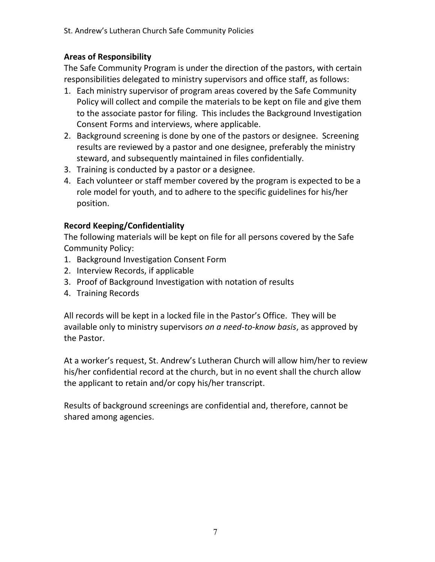### **Areas of Responsibility**

The Safe Community Program is under the direction of the pastors, with certain responsibilities delegated to ministry supervisors and office staff, as follows:

- 1. Each ministry supervisor of program areas covered by the Safe Community Policy will collect and compile the materials to be kept on file and give them to the associate pastor for filing. This includes the Background Investigation Consent Forms and interviews, where applicable.
- 2. Background screening is done by one of the pastors or designee. Screening results are reviewed by a pastor and one designee, preferably the ministry steward, and subsequently maintained in files confidentially.
- 3. Training is conducted by a pastor or a designee.
- 4. Each volunteer or staff member covered by the program is expected to be a role model for youth, and to adhere to the specific guidelines for his/her position.

### **Record Keeping/Confidentiality**

The following materials will be kept on file for all persons covered by the Safe Community Policy:

- 1. Background Investigation Consent Form
- 2. Interview Records, if applicable
- 3. Proof of Background Investigation with notation of results
- 4. Training Records

All records will be kept in a locked file in the Pastor's Office. They will be available only to ministry supervisors *on a need-to-know basis*, as approved by the Pastor.

At a worker's request, St. Andrew's Lutheran Church will allow him/her to review his/her confidential record at the church, but in no event shall the church allow the applicant to retain and/or copy his/her transcript.

Results of background screenings are confidential and, therefore, cannot be shared among agencies.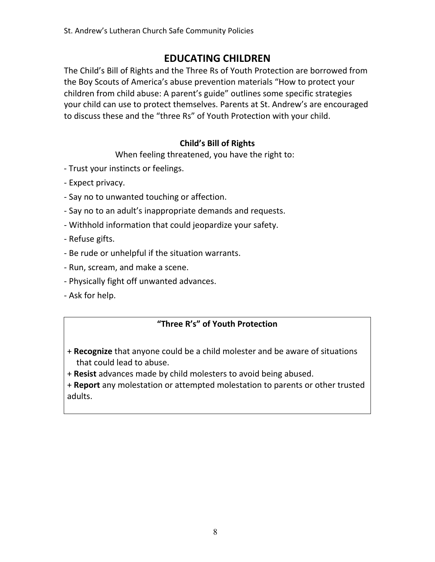# **EDUCATING CHILDREN**

The Child's Bill of Rights and the Three Rs of Youth Protection are borrowed from the Boy Scouts of America's abuse prevention materials "How to protect your children from child abuse: A parent's guide" outlines some specific strategies your child can use to protect themselves. Parents at St. Andrew's are encouraged to discuss these and the "three Rs" of Youth Protection with your child.

## **Child's Bill of Rights**

When feeling threatened, you have the right to:

- Trust your instincts or feelings.
- Expect privacy.
- Say no to unwanted touching or affection.
- Say no to an adult's inappropriate demands and requests.
- Withhold information that could jeopardize your safety.
- Refuse gifts.
- Be rude or unhelpful if the situation warrants.
- Run, scream, and make a scene.
- Physically fight off unwanted advances.
- Ask for help.

### **"Three R's" of Youth Protection**

- + **Recognize** that anyone could be a child molester and be aware of situations that could lead to abuse.
- + **Resist** advances made by child molesters to avoid being abused.

+ **Report** any molestation or attempted molestation to parents or other trusted adults.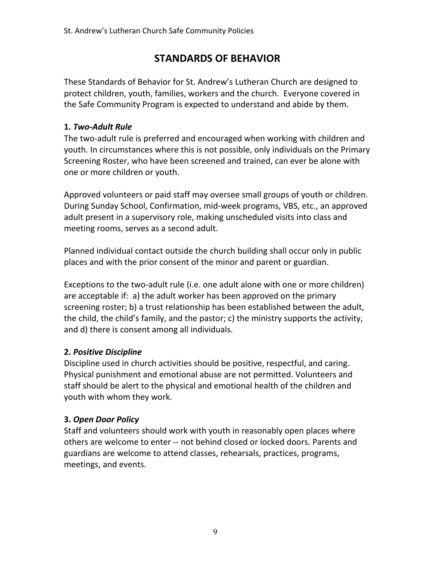# **STANDARDS OF BEHAVIOR**

These Standards of Behavior for St. Andrew's Lutheran Church are designed to protect children, youth, families, workers and the church. Everyone covered in the Safe Community Program is expected to understand and abide by them.

## **1.** *Two-Adult Rule*

The two-adult rule is preferred and encouraged when working with children and youth. In circumstances where this is not possible, only individuals on the Primary Screening Roster, who have been screened and trained, can ever be alone with one or more children or youth.

Approved volunteers or paid staff may oversee small groups of youth or children. During Sunday School, Confirmation, mid-week programs, VBS, etc., an approved adult present in a supervisory role, making unscheduled visits into class and meeting rooms, serves as a second adult.

Planned individual contact outside the church building shall occur only in public places and with the prior consent of the minor and parent or guardian.

Exceptions to the two-adult rule (i.e. one adult alone with one or more children) are acceptable if: a) the adult worker has been approved on the primary screening roster; b) a trust relationship has been established between the adult, the child, the child's family, and the pastor; c) the ministry supports the activity, and d) there is consent among all individuals.

# **2.** *Positive Discipline*

Discipline used in church activities should be positive, respectful, and caring. Physical punishment and emotional abuse are not permitted. Volunteers and staff should be alert to the physical and emotional health of the children and youth with whom they work.

# **3.** *Open Door Policy*

Staff and volunteers should work with youth in reasonably open places where others are welcome to enter -- not behind closed or locked doors. Parents and guardians are welcome to attend classes, rehearsals, practices, programs, meetings, and events.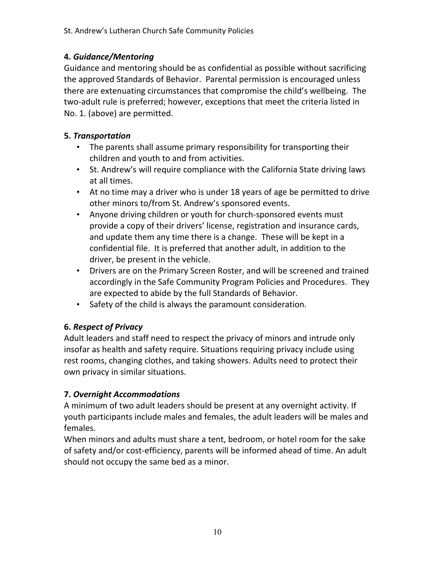# **4.** *Guidance/Mentoring*

Guidance and mentoring should be as confidential as possible without sacrificing the approved Standards of Behavior. Parental permission is encouraged unless there are extenuating circumstances that compromise the child's wellbeing. The two-adult rule is preferred; however, exceptions that meet the criteria listed in No. 1. (above) are permitted.

## **5.** *Transportation*

- The parents shall assume primary responsibility for transporting their children and youth to and from activities.
- St. Andrew's will require compliance with the California State driving laws at all times.
- At no time may a driver who is under 18 years of age be permitted to drive other minors to/from St. Andrew's sponsored events.
- Anyone driving children or youth for church-sponsored events must provide a copy of their drivers' license, registration and insurance cards, and update them any time there is a change. These will be kept in a confidential file. It is preferred that another adult, in addition to the driver, be present in the vehicle.
- Drivers are on the Primary Screen Roster, and will be screened and trained accordingly in the Safe Community Program Policies and Procedures. They are expected to abide by the full Standards of Behavior.
- Safety of the child is always the paramount consideration.

# **6.** *Respect of Privacy*

Adult leaders and staff need to respect the privacy of minors and intrude only insofar as health and safety require. Situations requiring privacy include using rest rooms, changing clothes, and taking showers. Adults need to protect their own privacy in similar situations.

# **7.** *Overnight Accommodations*

A minimum of two adult leaders should be present at any overnight activity. If youth participants include males and females, the adult leaders will be males and females.

When minors and adults must share a tent, bedroom, or hotel room for the sake of safety and/or cost-efficiency, parents will be informed ahead of time. An adult should not occupy the same bed as a minor.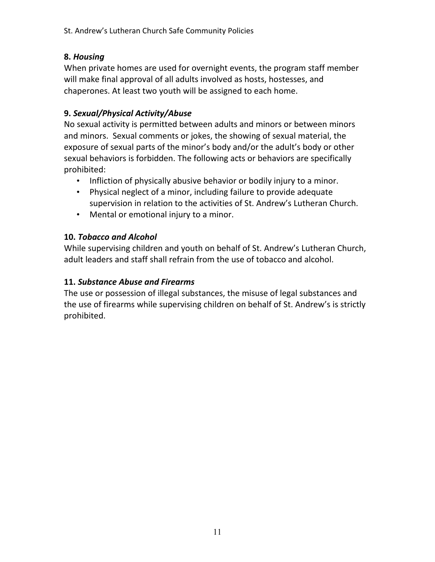## **8.** *Housing*

When private homes are used for overnight events, the program staff member will make final approval of all adults involved as hosts, hostesses, and chaperones. At least two youth will be assigned to each home.

# **9.** *Sexual/Physical Activity/Abuse*

No sexual activity is permitted between adults and minors or between minors and minors. Sexual comments or jokes, the showing of sexual material, the exposure of sexual parts of the minor's body and/or the adult's body or other sexual behaviors is forbidden. The following acts or behaviors are specifically prohibited:

- Infliction of physically abusive behavior or bodily injury to a minor.
- Physical neglect of a minor, including failure to provide adequate supervision in relation to the activities of St. Andrew's Lutheran Church.
- Mental or emotional injury to a minor.

## **10.** *Tobacco and Alcohol*

While supervising children and youth on behalf of St. Andrew's Lutheran Church, adult leaders and staff shall refrain from the use of tobacco and alcohol.

### **11.** *Substance Abuse and Firearms*

The use or possession of illegal substances, the misuse of legal substances and the use of firearms while supervising children on behalf of St. Andrew's is strictly prohibited.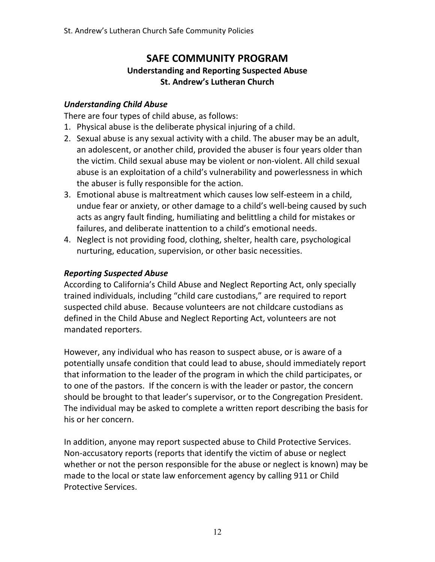# **SAFE COMMUNITY PROGRAM Understanding and Reporting Suspected Abuse St. Andrew's Lutheran Church**

### *Understanding Child Abuse*

There are four types of child abuse, as follows:

- 1. Physical abuse is the deliberate physical injuring of a child.
- 2. Sexual abuse is any sexual activity with a child. The abuser may be an adult, an adolescent, or another child, provided the abuser is four years older than the victim. Child sexual abuse may be violent or non-violent. All child sexual abuse is an exploitation of a child's vulnerability and powerlessness in which the abuser is fully responsible for the action.
- 3. Emotional abuse is maltreatment which causes low self-esteem in a child, undue fear or anxiety, or other damage to a child's well-being caused by such acts as angry fault finding, humiliating and belittling a child for mistakes or failures, and deliberate inattention to a child's emotional needs.
- 4. Neglect is not providing food, clothing, shelter, health care, psychological nurturing, education, supervision, or other basic necessities.

### *Reporting Suspected Abuse*

According to California's Child Abuse and Neglect Reporting Act, only specially trained individuals, including "child care custodians," are required to report suspected child abuse. Because volunteers are not childcare custodians as defined in the Child Abuse and Neglect Reporting Act, volunteers are not mandated reporters.

However, any individual who has reason to suspect abuse, or is aware of a potentially unsafe condition that could lead to abuse, should immediately report that information to the leader of the program in which the child participates, or to one of the pastors. If the concern is with the leader or pastor, the concern should be brought to that leader's supervisor, or to the Congregation President. The individual may be asked to complete a written report describing the basis for his or her concern.

In addition, anyone may report suspected abuse to Child Protective Services. Non-accusatory reports (reports that identify the victim of abuse or neglect whether or not the person responsible for the abuse or neglect is known) may be made to the local or state law enforcement agency by calling 911 or Child Protective Services.